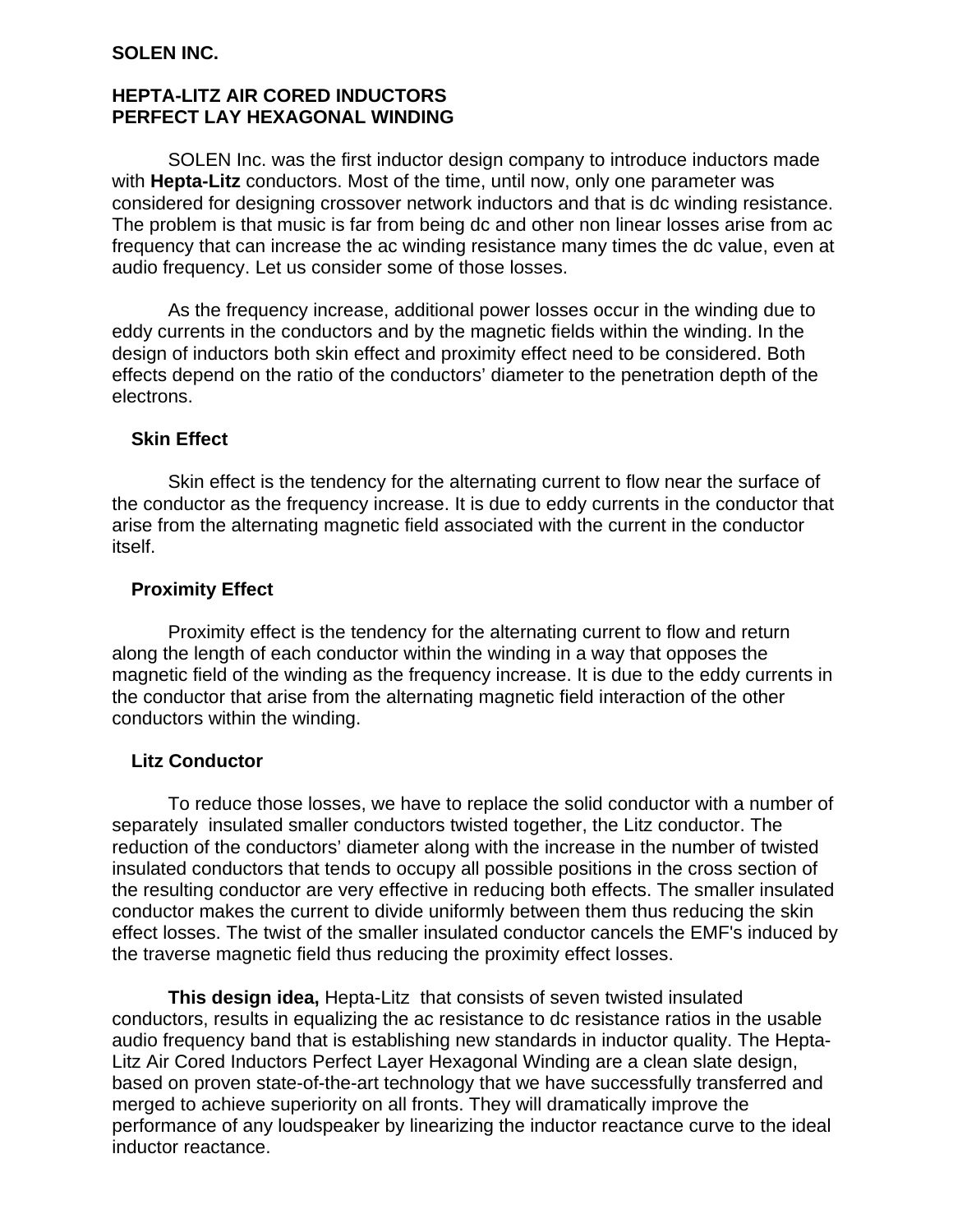### **SOLEN INC.**

## **HEPTA-LITZ AIR CORED INDUCTORS PERFECT LAY HEXAGONAL WINDING**

SOLEN Inc. was the first inductor design company to introduce inductors made with **Hepta-Litz** conductors. Most of the time, until now, only one parameter was considered for designing crossover network inductors and that is dc winding resistance. The problem is that music is far from being dc and other non linear losses arise from ac frequency that can increase the ac winding resistance many times the dc value, even at audio frequency. Let us consider some of those losses.

 As the frequency increase, additional power losses occur in the winding due to eddy currents in the conductors and by the magnetic fields within the winding. In the design of inductors both skin effect and proximity effect need to be considered. Both effects depend on the ratio of the conductors' diameter to the penetration depth of the electrons.

### **Skin Effect**

Skin effect is the tendency for the alternating current to flow near the surface of the conductor as the frequency increase. It is due to eddy currents in the conductor that arise from the alternating magnetic field associated with the current in the conductor itself.

### **Proximity Effect**

Proximity effect is the tendency for the alternating current to flow and return along the length of each conductor within the winding in a way that opposes the magnetic field of the winding as the frequency increase. It is due to the eddy currents in the conductor that arise from the alternating magnetic field interaction of the other conductors within the winding.

#### **Litz Conductor**

To reduce those losses, we have to replace the solid conductor with a number of separately insulated smaller conductors twisted together, the Litz conductor. The reduction of the conductors' diameter along with the increase in the number of twisted insulated conductors that tends to occupy all possible positions in the cross section of the resulting conductor are very effective in reducing both effects. The smaller insulated conductor makes the current to divide uniformly between them thus reducing the skin effect losses. The twist of the smaller insulated conductor cancels the EMF's induced by the traverse magnetic field thus reducing the proximity effect losses.

 **This design idea,** Hepta-Litzthat consists of seven twisted insulated conductors, results in equalizing the ac resistance to dc resistance ratios in the usable audio frequency band that is establishing new standards in inductor quality. The Hepta-Litz Air Cored Inductors Perfect Layer Hexagonal Winding are a clean slate design, based on proven state-of-the-art technology that we have successfully transferred and merged to achieve superiority on all fronts. They will dramatically improve the performance of any loudspeaker by linearizing the inductor reactance curve to the ideal inductor reactance.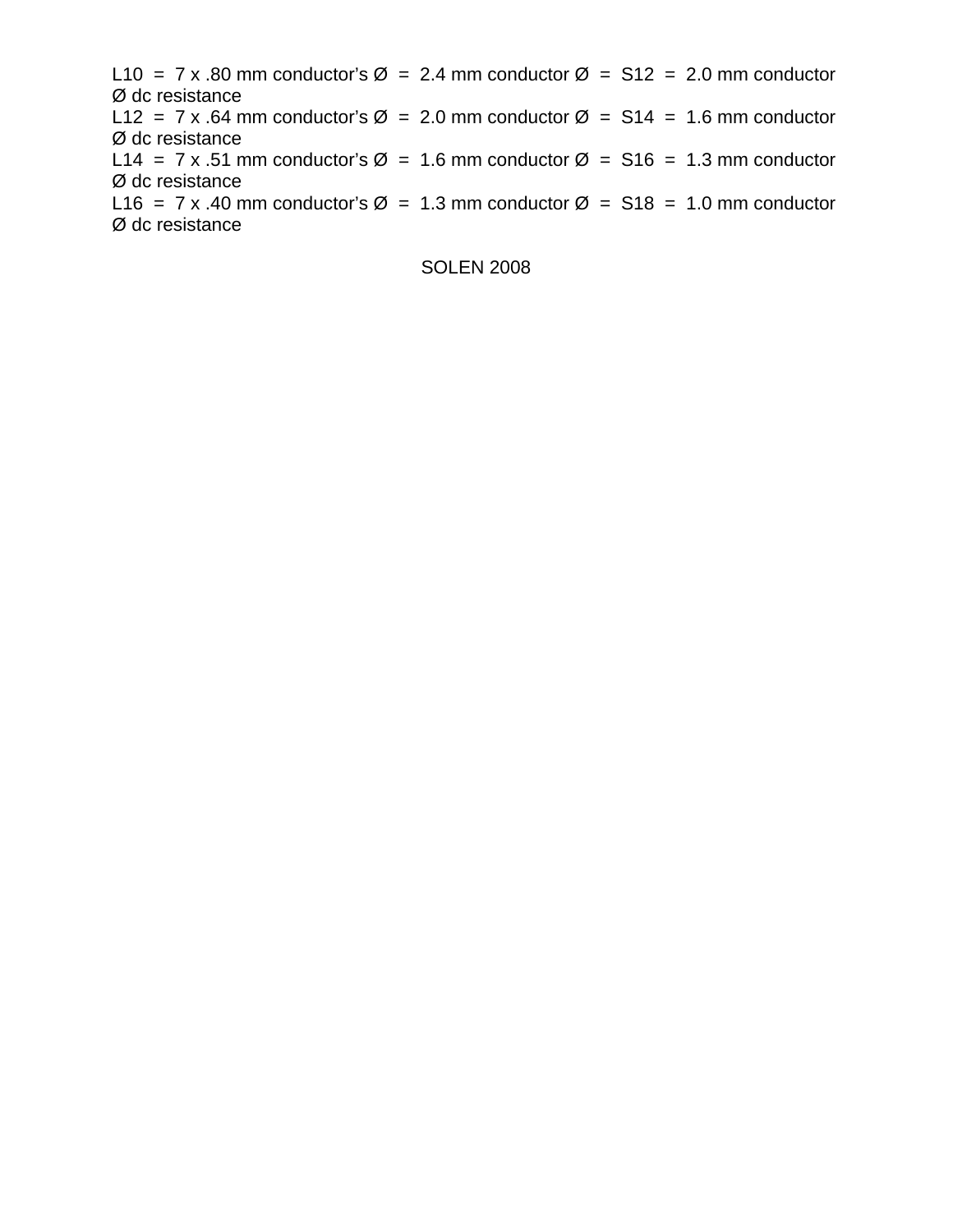L10 = 7 x .80 mm conductor's  $\varnothing$  = 2.4 mm conductor  $\varnothing$  = S12 = 2.0 mm conductor Ø dc resistance L12 = 7 x .64 mm conductor's  $\varnothing$  = 2.0 mm conductor  $\varnothing$  = S14 = 1.6 mm conductor Ø dc resistance L14 = 7 x .51 mm conductor's  $\varnothing$  = 1.6 mm conductor  $\varnothing$  = S16 = 1.3 mm conductor Ø dc resistance L16 = 7 x .40 mm conductor's  $\varnothing$  = 1.3 mm conductor  $\varnothing$  = S18 = 1.0 mm conductor Ø dc resistance

SOLEN 2008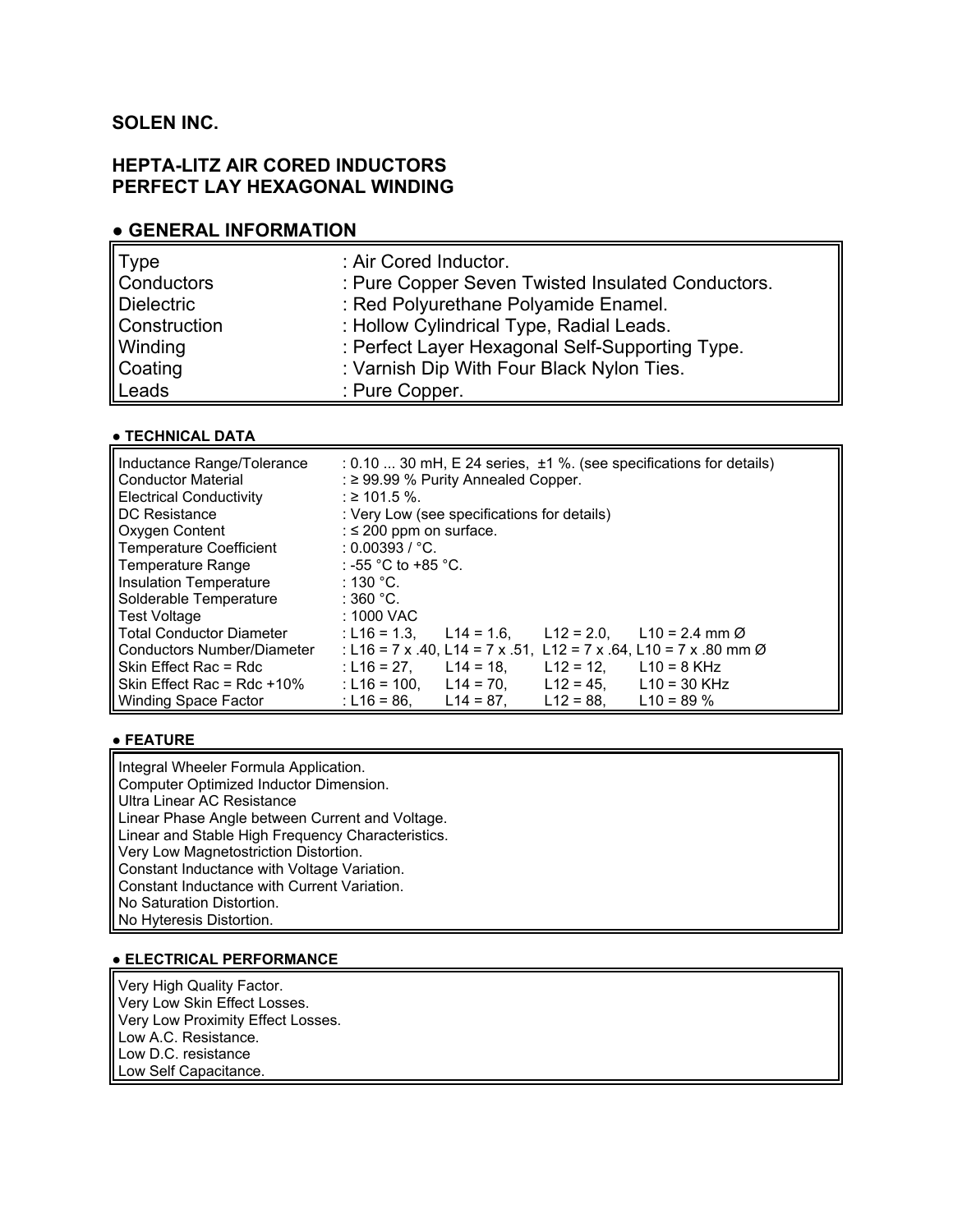# **SOLEN INC.**

## **HEPTA-LITZ AIR CORED INDUCTORS PERFECT LAY HEXAGONAL WINDING**

#### **● GENERAL INFORMATION**

| $\ $ Type    | : Air Cored Inductor.                             |
|--------------|---------------------------------------------------|
| Conductors   | : Pure Copper Seven Twisted Insulated Conductors. |
| Dielectric   | : Red Polyurethane Polyamide Enamel.              |
| Construction | : Hollow Cylindrical Type, Radial Leads.          |
| Winding      | : Perfect Layer Hexagonal Self-Supporting Type.   |
| Coating      | : Varnish Dip With Four Black Nylon Ties.         |
| Leads        | : Pure Copper.                                    |

#### **● TECHNICAL DATA**

| Inductance Range/Tolerance<br><b>Conductor Material</b><br><b>Electrical Conductivity</b> | $: 0.10$ 30 mH, E 24 series, $\pm 1$ %. (see specifications for details)<br>: $\geq$ 99.99 % Purity Annealed Copper.<br>$\div$ ≥ 101.5 %. |
|-------------------------------------------------------------------------------------------|-------------------------------------------------------------------------------------------------------------------------------------------|
| DC Resistance                                                                             | : Very Low (see specifications for details)                                                                                               |
| Oxygen Content                                                                            | : $\leq$ 200 ppm on surface.                                                                                                              |
| Temperature Coefficient                                                                   | : 0.00393 / $^{\circ}$ C.                                                                                                                 |
| Temperature Range                                                                         | : -55 °C to +85 °C.                                                                                                                       |
| Insulation Temperature                                                                    | ∶ 130 °C.                                                                                                                                 |
| Solderable Temperature                                                                    | ∶360 °C.                                                                                                                                  |
| <b>Test Voltage</b>                                                                       | : 1000 VAC                                                                                                                                |
| <b>Total Conductor Diameter</b>                                                           | : L16 = 1.3.<br>$L12 = 2.0$ .<br>$L14 = 1.6$ .<br>$L10 = 2.4$ mm $\varnothing$                                                            |
| Conductors Number/Diameter                                                                | : L16 = 7 x .40, L14 = 7 x .51, L12 = 7 x .64, L10 = 7 x .80 mm $\varnothing$                                                             |
| Skin Effect Rac = Rdc                                                                     | $L12 = 12$ ,<br>$L$ 10 = 8 KHz<br>: L16 = 27, L14 = 18,                                                                                   |
| Skin Effect Rac = $Rdc + 10%$                                                             | $L12 = 45.$<br>$L10 = 30$ KHz<br>: L16 = 100. L14 = 70.                                                                                   |
| Winding Space Factor                                                                      | $L14 = 87.$<br>$L12 = 88.$<br>$L10 = 89 \%$<br>: L16 = 86.                                                                                |

#### **● FEATURE**

Integral Wheeler Formula Application. Computer Optimized Inductor Dimension. Ultra Linear AC Resistance Linear Phase Angle between Current and Voltage. Linear and Stable High Frequency Characteristics. Very Low Magnetostriction Distortion. Constant Inductance with Voltage Variation. Constant Inductance with Current Variation. No Saturation Distortion. No Hyteresis Distortion.

#### **● ELECTRICAL PERFORMANCE**

Very High Quality Factor. Very Low Skin Effect Losses. Very Low Proximity Effect Losses. Low A.C. Resistance. Low D.C. resistance Low Self Capacitance.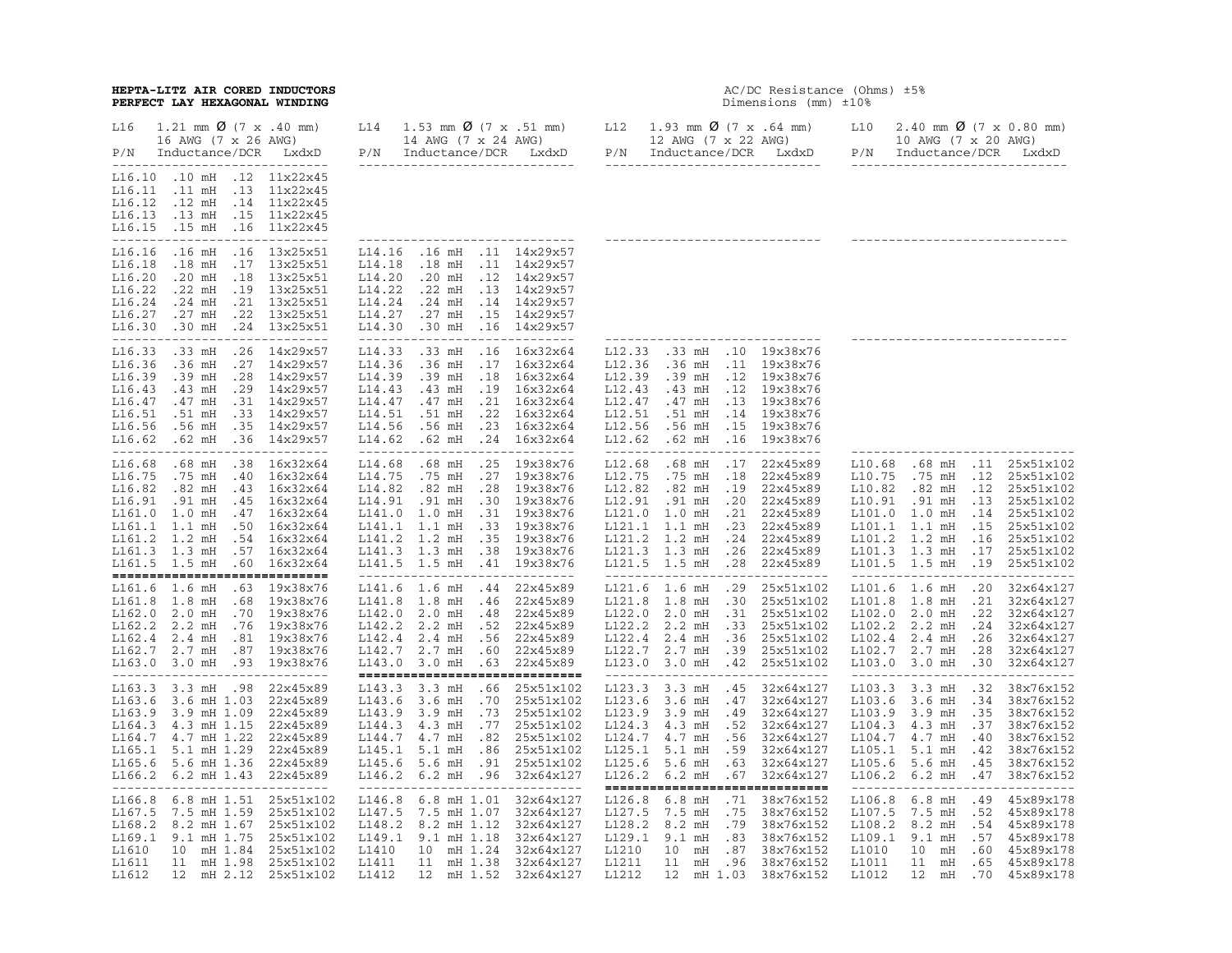# **HEPTA-LITZ AIR CORED INDUCTORS** AC/DC Resistance (Ohms) ±5% **PERFECT LAY HEXAGONAL WINDING**

# AC/DC Resistance (Ohms)  $\pm 5\%$ <br>Dimensions (mm)  $\pm 10\%$

| L16<br>$1.21 \text{ mm}$ $0 \left(7 \text{ x } .40 \text{ mm}\right)$<br>16 AWG (7 x 26 AWG)<br>Inductance/DCR LxdxD<br>P/N<br>------------------------------                                                                                                                                                                   | L14<br>1.53 mm $\emptyset$ (7 x .51 mm) L12<br>14 AWG (7 x 24 AWG)<br>P/N Inductance/DCR LxdxD<br>------------------------------                                                                                                                                                                                            | 1.93 mm $\emptyset$ (7 x .64 mm)<br>12 AWG (7 x 22 AWG)<br>P/N Inductance/DCR LxdxD<br>-------------------------------                                                                                                                                                                                        | L10<br>2.40 mm $\emptyset$ (7 x 0.80 mm)<br>10 AWG (7 x 20 AWG)<br>P/N Inductance/DCR<br>LxdxD<br>------------------------------                                                                                                                                                                                                                 |
|---------------------------------------------------------------------------------------------------------------------------------------------------------------------------------------------------------------------------------------------------------------------------------------------------------------------------------|-----------------------------------------------------------------------------------------------------------------------------------------------------------------------------------------------------------------------------------------------------------------------------------------------------------------------------|---------------------------------------------------------------------------------------------------------------------------------------------------------------------------------------------------------------------------------------------------------------------------------------------------------------|--------------------------------------------------------------------------------------------------------------------------------------------------------------------------------------------------------------------------------------------------------------------------------------------------------------------------------------------------|
| L16.10 .10 mH .12 11x22x45<br>L16.11<br>.11 mH .13 11x22x45<br>L16.12<br>.12 mH<br>.14 11x22x45<br>L16.13<br>.13 mH .15 11x22x45<br>L16.15 .15 mH<br>.16 11x22x45<br>-----------------------------                                                                                                                              | ----------------                                                                                                                                                                                                                                                                                                            |                                                                                                                                                                                                                                                                                                               |                                                                                                                                                                                                                                                                                                                                                  |
| .16 mH<br>.16 13x25x51<br>L16.16<br>L16.18<br>$.18$ mH<br>.17 13x25x51<br>L16.20<br>$.20$ mH<br>.18 13x25x51<br>.19 13x25x51<br>L16.22<br>$.22$ mH<br>L16.24<br>.21 13x25x51<br>.24 mH<br>L16.27<br>.22 13x25x51<br>.27 mH<br>L16.30 .30 mH<br>.24 13x25x51<br>----------------------------                                     | L14.16<br>.16 mH .11 14x29x57<br>L14.18<br>.18 mH .11 14x29x57<br>L14.20<br>.20 mH .12 14x29x57<br>.22 mH .13 14x29x57<br>L14.22<br>L14.24<br>.24 mH .14 14x29x57<br>L14.27<br>.27 mH .15 14x29x57<br>L14.30<br>.30 mH .16 14x29x57<br>----------------------------                                                         | ----------------                                                                                                                                                                                                                                                                                              |                                                                                                                                                                                                                                                                                                                                                  |
| L16.33<br>.33 mH .26 14x29x57<br>L16.36<br>.27 14x29x57<br>.36 <sub>mH</sub><br>L16.39<br>.28 14x29x57<br>.39 mH<br>.29 14x29x57<br>L16.43<br>.43 mH<br>.31 14x29x57<br>L16.47<br>.47 mH<br>L16.51 .51 mH<br>.33 14x29x57<br>L16.56<br>.56 mH<br>.35 14x29x57<br>.36 14x29x57<br>L16.62 .62 mH<br>----------------------------- | L14.33<br>.33 mH .16 16x32x64<br>L14.36<br>.36 mH .17 16x32x64<br>L14.39<br>.39 mH .18 16x32x64<br>.43 mH .19 16x32x64<br>L14.43<br>.47 mH .21 16x32x64<br>L14.47<br>L14.51<br>.51 mH .22 16x32x64<br>L14.56<br>.56 mH .23 16x32x64<br>.62 mH .24 16x32x64<br>L14.62<br>-----------------------------                       | L12.33 .33 mH .10 19x38x76<br>L12.36 .36 mH .11 19x38x76<br>L12.39<br>.39 mH .12 19x38x76<br>L12.43 .43 mH .12 19x38x76<br>L12.47 .47 mH .13 19x38x76<br>L12.51 .51 mH .14 19x38x76<br>L12.56<br>.56 mH .15 19x38x76<br>L12.62 .62 mH .16 19x38x76<br>-----------------------------                           | -------------------------------                                                                                                                                                                                                                                                                                                                  |
| L16.68 .68 mH .38 16x32x64<br>L16.75 .75 mH<br>.40 16x32x64<br>L16.82 .82 mH<br>.43 16x32x64<br>L16.91 .91 mH<br>.45 16x32x64<br>.47 16x32x64<br>L161.0 1.0 mH<br>$.50$ $16x32x64$<br>L161.1 1.1 mH<br>L161.2 1.2 mH<br>.54 16x32x64<br>L161.3 1.3 mH .57 16x32x64<br>L161.5 1.5 mH<br>$.60$ $16x32x64$                         | .68 mH .25 19x38x76<br>L14.68<br>L14.75<br>.75 mH .27 19x38x76<br>L14.82<br>.82 mH .28 19x38x76<br>L14.91 .91 mH .30 19x38x76<br>L141.0 1.0 mH .31 19x38x76<br>L141.1 1.1 mH .33 19x38x76<br>L141.2 1.2 mH .35<br>19x38x76<br>L141.3 1.3 mH .38 19x38x76<br>L141.5 1.5 mH .41 19x38x76<br>_________________________________ | L12.68 .68 mH .17 22x45x89<br>L12.75 .75 mH .18 22x45x89<br>L12.82 .82 mH .19 22x45x89<br>L12.91 .91 mH .20 22x45x89<br>L121.0 1.0 mH .21 22x45x89<br>L121.1 1.1 mH .23 22x45x89<br>L121.2 1.2 mH .24 22x45x89<br>L121.3 1.3 mH .26 22x45x89<br>L121.5 1.5 mH .28 22x45x89<br>------------------------------- | L10.68 .68 mH .11 25x51x102<br>L10.75 .75 mH .12 25x51x102<br>L10.82 .82 mH .12 25x51x102<br>L10.91 .91 mH .13<br>25x51x102<br>L101.0 1.0 mH<br>25x51x102<br>.14<br>L101.1 1.1 mH<br>25x51x102<br>.15<br>L101.2 1.2 mH<br>.16<br>25x51x102<br>L101.3 1.3 mH<br>.17<br>25x51x102<br>L101.5 1.5 mH .19 25x51x102<br>------------------------------ |
| -----------------------------<br>L161.6 1.6 mH<br>.63 19x38x76<br>.68 19x38x76<br>L161.8 1.8 mH<br>.70 19x38x76<br>L162.0 2.0 mH<br>L162.2 2.2 mH .76 19x38x76<br>$L162.4$ 2.4 mH<br>.81 19x38x76<br>L162.7 2.7 mH .87 19x38x76<br>L163.0 3.0 mH .93 19x38x76<br>-----------------------------                                  | L141.6 1.6 mH .44 22x45x89<br>L141.8 1.8 mH .46 22x45x89<br>L142.0 2.0 mH .48 22x45x89<br>L142.2 2.2 mH .52 22x45x89<br>L142.4 2.4 mH .56 22x45x89<br>L142.7 2.7 mH .60 22x45x89<br>L143.0 3.0 mH .63 22x45x89<br>-----------------------------                                                                             | L121.6 1.6 mH .29 25x51x102<br>L121.8 1.8 mH .30 25x51x102<br>L122.0 2.0 mH .31 25x51x102<br>L122.2 2.2 mH .33 25x51x102<br>L122.4 2.4 mH .36 25x51x102<br>L122.7 2.7 mH .39 25x51x102<br>L123.0 3.0 mH .42 25x51x102<br>-----------------------------                                                        | L101.6 1.6 mH .20<br>32x64x127<br>L101.8 1.8 mH .21<br>32x64x127<br>L102.0 2.0 mH .22 32x64x127<br>L102.2 2.2 mH<br>32x64x127<br>.24<br>L102.4 2.4 mH .26 32x64x127<br>L102.7 2.7 mH .28<br>32x64x127<br>L103.0 3.0 mH .30 32x64x127<br>-----------------------------                                                                            |
| L163.3 3.3 mH .98<br>22x45x89<br>L163.6 3.6 mH 1.03<br>22x45x89<br>L163.9 3.9 mH 1.09 22x45x89<br>L164.3 4.3 mH 1.15 22x45x89<br>L164.7 4.7 mH 1.22 22x45x89<br>L165.1 5.1 mH 1.29<br>22x45x89<br>L165.6 5.6 mH 1.36 22x45x89<br>L166.2 6.2 mH 1.43 22x45x89<br>-----------------------------                                   | L143.3 3.3 mH .66 25x51x102<br>L143.6 3.6 mH .70<br>25x51x102<br>L143.9 3.9 mH .73<br>25x51x102<br>L144.3 4.3 mH .77<br>25x51x102<br>L144.7 4.7 mH .82 25x51x102<br>L145.1 5.1 mH .86<br>25x51x102<br>L145.6 5.6 mH .91<br>25x51x102<br>L146.2 6.2 mH .96 32x64x127<br>-------------------------------                      | L123.3 3.3 mH .45 32x64x127<br>L123.6 3.6 mH .47<br>32x64x127<br>L123.9 3.9 mH .49 32x64x127<br>L124.3 4.3 mH .52 32x64x127<br>L124.7 4.7 mH .56 32x64x127<br>L125.1 5.1 mH .59 32x64x127<br>L125.6 5.6 mH .63 32x64x127<br>L126.2 6.2 mH .67 32x64x127<br>-----------------------------                      | L103.3 3.3 mH .32<br>38x76x152<br>L103.6 3.6 mH .34<br>38x76x152<br>L103.9 3.9 mH .35<br>38x76x152<br>L104.3 4.3 mH .37<br>38x76x152<br>L104.7 4.7 mH .40<br>38x76x152<br>L105.1 5.1 mH<br>38x76x152<br>.42<br>L105.6 5.6 mH .45<br>38x76x152<br>L106.2 6.2 mH .47<br>38x76x152<br>-------------------------------                               |
| L166.8 6.8 mH 1.51 25x51x102<br>L167.5 7.5 mH 1.59<br>25x51x102<br>L168.2 8.2 mH 1.67<br>25x51x102<br>L169.1 9.1 mH 1.75<br>25x51x102<br>L1610<br>10 mH 1.84 25x51x102<br>L1611<br>11 mH 1.98 25x51x102<br>12 mH 2.12 25x51x102<br>L1612                                                                                        | L146.8 6.8 mH 1.01<br>32x64x127<br>L147.5<br>7.5 mH 1.07<br>32x64x127<br>L148.2 8.2 mH 1.12<br>32x64x127<br>L149.1 9.1 mH 1.18<br>32x64x127<br>L1410<br>10 mH 1.24<br>32x64x127<br>11 mH 1.38<br>L1411<br>32x64x127<br>12 mH 1.52 32x64x127<br>L1412                                                                        | L126.8 6.8 mH .71 38x76x152<br>L127.5 7.5 mH<br>.75<br>38x76x152<br>L128.2 8.2 mH .79 38x76x152<br>L129.1 9.1 mH .83 38x76x152<br>L1210<br>10 mH .87 38x76x152<br>L1211<br>11 mH .96 38x76x152<br>12 mH 1.03 38x76x152<br>L1212                                                                               | L106.8 6.8 mH<br>.49<br>45x89x178<br>L107.5 7.5 mH<br>.52<br>45x89x178<br>L108.2 8.2 mH<br>.54<br>45x89x178<br>L109.1 9.1 mH<br>.57<br>45x89x178<br>L1010<br>10 mH .60<br>45x89x178<br>L1011<br>11 mH .65<br>45x89x178<br>L1012<br>12 mH .70<br>45x89x178                                                                                        |